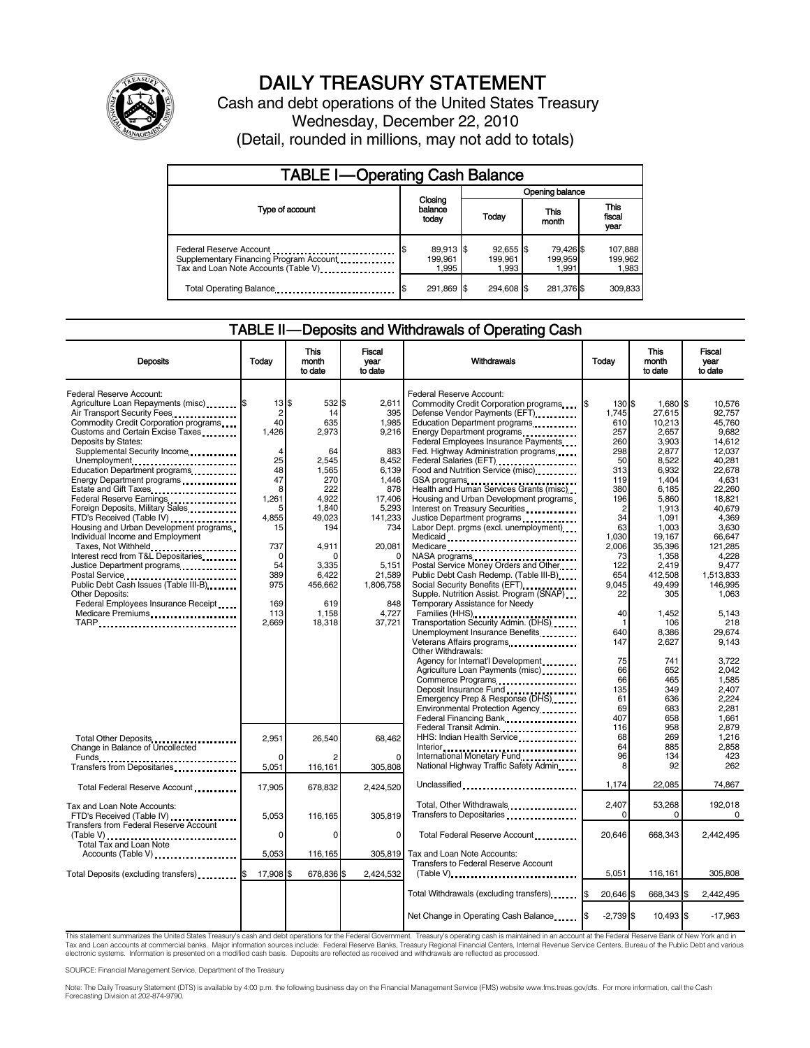

# DAILY TREASURY STATEMENT

Cash and debt operations of the United States Treasury Wednesday, December 22, 2010 (Detail, rounded in millions, may not add to totals)

| <b>TABLE I-Operating Cash Balance</b>                                                                       |                               |                                 |                               |                               |  |  |
|-------------------------------------------------------------------------------------------------------------|-------------------------------|---------------------------------|-------------------------------|-------------------------------|--|--|
|                                                                                                             |                               |                                 |                               | Opening balance               |  |  |
| Type of account                                                                                             | Closing<br>balance<br>today   | Today                           | This<br>month                 | <b>This</b><br>fiscal<br>year |  |  |
| Federal Reserve Account<br>Supplementary Financing Program Account<br>Tax and Loan Note Accounts (Table V). | 89,913 \$<br>199.961<br>1.995 | $92.655$ \$<br>199.961<br>1,993 | 79.426 \$<br>199.959<br>1.991 | 107,888<br>199,962<br>1,983   |  |  |
| Total Operating Balance                                                                                     | 291,869 \$                    | 294.608 \$                      | 281,376 \$                    | 309,833                       |  |  |

#### TABLE II — Deposits and Withdrawals of Operating Cash

| <b>Deposits</b>                                                                                         | Todav                                            | <b>This</b><br>month<br>to date | Fiscal<br>vear<br>to date | Withdrawals                                                                                              | <b>Today</b>               | <b>This</b><br>month<br>to date | Fiscal<br>vear<br>to date     |
|---------------------------------------------------------------------------------------------------------|--------------------------------------------------|---------------------------------|---------------------------|----------------------------------------------------------------------------------------------------------|----------------------------|---------------------------------|-------------------------------|
| Federal Reserve Account:<br>Agriculture Loan Repayments (misc) \$<br>Air Transport Security Fees        | $13$ $\overline{\phantom{1}5}$<br>$\overline{2}$ | 532 \$<br>14                    | 2.611<br>395              | Federal Reserve Account:<br>Commodity Credit Corporation programs<br>Defense Vendor Payments (EFT)       | 130 \$<br>1.745            | 1,680 \$<br>27.615              | 10.576<br>92.757              |
| Commodity Credit Corporation programs<br>Customs and Certain Excise Taxes                               | 40<br>1.426                                      | 635<br>2,973                    | 1.985<br>9,216            | Education Department programs<br>Energy Department programs<br>                                          | 610<br>257                 | 10.213<br>2,657                 | 45.760<br>9.682               |
| Deposits by States:<br>Supplemental Security Income                                                     | $\overline{4}$                                   | 64                              | 883<br>8.452              | Federal Employees Insurance Payments<br>Fed. Highway Administration programs                             | 260<br>298                 | 3,903<br>2,877                  | 14.612<br>12.037              |
| Unemployment<br>Education Department programs<br>Energy Department programs<br>                         | 25<br>48<br>47                                   | 2,545<br>1.565<br>270           | 6.139<br>1.446            | Federal Salaries (EFT)<br>Food and Nutrition Service (misc).<br>GSA programs                             | 50<br>313<br>119           | 8,522<br>6.932<br>1,404         | 40.281<br>22.678<br>4,631     |
| Estate and Gift Taxes<br>Federal Reserve Earnings                                                       | 8<br>1,261                                       | 222<br>4,922                    | 878<br>17,406             | Health and Human Services Grants (misc)<br>Housing and Urban Development programs                        | 380<br>196                 | 6,185<br>5,860                  | 22,260<br>18.821              |
| Foreign Deposits, Military Sales<br>FTD's Received (Table IV)<br>Housing and Urban Development programs | 5<br>4.855<br>15                                 | 1.840<br>49,023<br>194          | 5,293<br>141,233<br>734   | Interest on Treasury Securities<br>Justice Department programs<br>Labor Dept. prgms (excl. unemployment) | $\overline{2}$<br>34<br>63 | 1,913<br>1.091<br>1,003         | 40.679<br>4.369<br>3,630      |
| Individual Income and Employment<br>Taxes, Not Withheld                                                 | 737                                              | 4,911                           | 20,081                    | Medicaid<br>Medicare                                                                                     | 1,030<br>2,006             | 19,167<br>35,396                | 66,647<br>121,285             |
| Interest recd from T&L Depositaries<br>Justice Department programs                                      | $\Omega$<br>54<br>389                            | n<br>3,335<br>6,422             | 5.151                     | NASA programs<br>Postal Service Money Orders and Other<br>Public Debt Cash Redemp. (Table III-B)         | 73<br>122<br>654           | 1,358<br>2.419                  | 4.228<br>9.477                |
| Public Debt Cash Issues (Table III-B)<br>Other Deposits:                                                | 975                                              | 456,662                         | 21,589<br>1,806,758       | Social Security Benefits (EFT)<br>Supple. Nutrition Assist. Program (SNAP)                               | 9,045<br>22                | 412,508<br>49,499<br>305        | 1,513,833<br>146,995<br>1,063 |
| Federal Employees Insurance Receipt<br>Medicare Premiums                                                | 169<br>113<br>2,669                              | 619<br>1,158<br>18,318          | 848<br>4,727<br>37,721    | Temporary Assistance for Needy<br>Families (HHS)<br>Transportation Security Admin. (DHS)                 | 40                         | 1,452<br>106                    | 5.143<br>218                  |
| TARP                                                                                                    |                                                  |                                 |                           | Unemployment Insurance Benefits<br>Veterans Affairs programs                                             | 640<br>147                 | 8.386<br>2,627                  | 29.674<br>9.143               |
|                                                                                                         |                                                  |                                 |                           | Other Withdrawals:<br>Agency for Internat'l Development                                                  | 75<br>66                   | 741<br>652                      | 3.722<br>2.042                |
|                                                                                                         |                                                  |                                 |                           | Agriculture Loan Payments (misc)<br>Deposit Insurance Fund                                               | 66<br>135                  | 465<br>349                      | 1.585<br>2.407                |
|                                                                                                         |                                                  |                                 |                           | Emergency Prep & Response (DHS)<br>Environmental Protection Agency                                       | 61<br>69                   | 636<br>683                      | 2.224<br>2,281                |
|                                                                                                         | 2,951                                            | 26,540                          | 68.462                    | Federal Transit Admin.<br>HHS: Indian Health Service                                                     | 407<br>116<br>68           | 658<br>958<br>269               | 1.661<br>2,879<br>1.216       |
| Total Other Deposits<br>Change in Balance of Uncollected                                                | $\Omega$                                         |                                 | $\Omega$                  | Interior<br>International Monetary Fund<br>Thermational Monetary Fund                                    | 64<br>96                   | 885<br>134                      | 2,858<br>423                  |
| Transfers from Depositaries<br>Total Federal Reserve Account                                            | 5,051<br>17,905                                  | 116,161<br>678,832              | 305,808<br>2.424.520      | National Highway Traffic Safety Admin<br>Unclassified                                                    | 8<br>1,174                 | 92<br>22,085                    | 262<br>74,867                 |
| Tax and Loan Note Accounts:                                                                             |                                                  |                                 |                           | Total, Other Withdrawals                                                                                 | 2.407                      | 53,268                          | 192.018                       |
| FTD's Received (Table IV)<br>Transfers from Federal Reserve Account                                     | 5,053<br>0                                       | 116,165<br>$\mathbf 0$          | 305,819<br>$\mathbf 0$    | Transfers to Depositaries<br>Total Federal Reserve Account                                               | 0<br>20,646                | 0<br>668,343                    | 0<br>2,442,495                |
| Total Tax and Loan Note<br>Accounts (Table V)                                                           | 5,053                                            | 116,165                         | 305,819                   | Tax and Loan Note Accounts:                                                                              |                            |                                 |                               |
| Total Deposits (excluding transfers) <b>S</b>                                                           | 17,908 \$                                        | 678,836 \$                      | 2,424,532                 | Transfers to Federal Reserve Account                                                                     | 5,051                      | 116,161                         | 305,808                       |
|                                                                                                         |                                                  |                                 |                           | Total Withdrawals (excluding transfers)                                                                  | 20,646 \$                  | 668,343 \$                      | 2,442,495                     |
|                                                                                                         |                                                  |                                 |                           | Net Change in Operating Cash Balance                                                                     | $-2,739$ \$                | 10,493 \$                       | $-17,963$                     |

This statement summarizes the United States Treasury's cash and debt operations for the Federal Government. Treasury's operating cash is maintained in an account at the Federal Reserve Bank of New York and in Tax and Loan accounts at commercial banks. Major information sources include: Federal Reserve Banks, Treasury Regional Financial Centers, Internal Revenue Service Centers, Bureau of the Public Debt and various<br>electronic s

SOURCE: Financial Management Service, Department of the Treasury

Note: The Daily Treasury Statement (DTS) is available by 4:00 p.m. the following business day on the Financial Management Service (FMS) website www.fms.treas.gov/dts. For more information, call the Cash<br>Forecasting Divisio